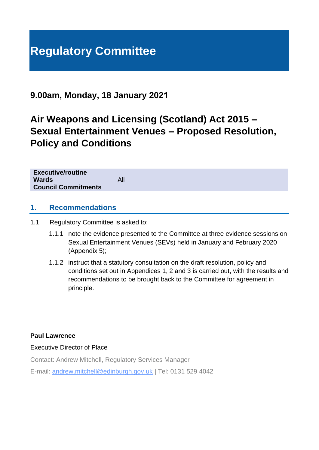# **Regulatory Committee**

## **9.00am, Monday, 18 January 2021**

## **Air Weapons and Licensing (Scotland) Act 2015 – Sexual Entertainment Venues – Proposed Resolution, Policy and Conditions**

| <b>Executive/routine</b><br><b>Wards</b><br><b>Council Commitments</b> | All |
|------------------------------------------------------------------------|-----|
|                                                                        |     |

## **1. Recommendations**

1.1 Regulatory Committee is asked to:

- 1.1.1 note the evidence presented to the Committee at three evidence sessions on Sexual Entertainment Venues (SEVs) held in January and February 2020 (Appendix 5);
- 1.1.2 instruct that a statutory consultation on the draft resolution, policy and conditions set out in Appendices 1, 2 and 3 is carried out, with the results and recommendations to be brought back to the Committee for agreement in principle.

## **Paul Lawrence**

Executive Director of Place

Contact: Andrew Mitchell, Regulatory Services Manager

E-mail: andrew.mitchell@edinburgh.gov.uk | Tel: 0131 529 4042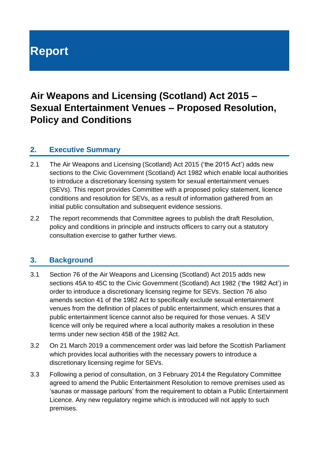# **Report**

## **Air Weapons and Licensing (Scotland) Act 2015 – Sexual Entertainment Venues – Proposed Resolution, Policy and Conditions**

## **2. Executive Summary**

- 2.1 The Air Weapons and Licensing (Scotland) Act 2015 ('the 2015 Act') adds new sections to the Civic Government (Scotland) Act 1982 which enable local authorities to introduce a discretionary licensing system for sexual entertainment venues (SEVs). This report provides Committee with a proposed policy statement, licence conditions and resolution for SEVs, as a result of information gathered from an initial public consultation and subsequent evidence sessions.
- 2.2 The report recommends that Committee agrees to publish the draft Resolution, policy and conditions in principle and instructs officers to carry out a statutory consultation exercise to gather further views.

## **3. Background**

- 3.1 Section 76 of the Air Weapons and Licensing (Scotland) Act 2015 adds new sections 45A to 45C to the Civic Government (Scotland) Act 1982 ('the 1982 Act') in order to introduce a discretionary licensing regime for SEVs. Section 76 also amends section 41 of the 1982 Act to specifically exclude sexual entertainment venues from the definition of places of public entertainment, which ensures that a public entertainment licence cannot also be required for those venues. A SEV licence will only be required where a local authority makes a resolution in these terms under new section 45B of the 1982 Act.
- 3.2 On 21 March 2019 a commencement order was laid before the Scottish Parliament which provides local authorities with the necessary powers to introduce a discretionary licensing regime for SEVs.
- 3.3 Following a period of consultation, on 3 February 2014 the Regulatory Committee agreed to amend the Public Entertainment Resolution to remove premises used as 'saunas or massage parlours' from the requirement to obtain a Public Entertainment Licence. Any new regulatory regime which is introduced will not apply to such premises.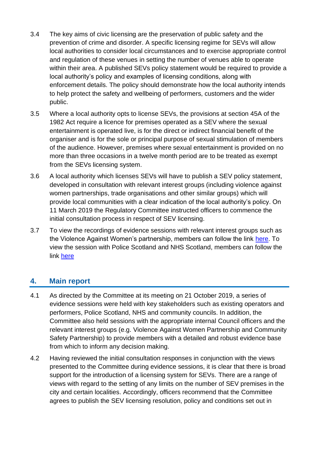- 3.4 The key aims of civic licensing are the preservation of public safety and the prevention of crime and disorder. A specific licensing regime for SEVs will allow local authorities to consider local circumstances and to exercise appropriate control and regulation of these venues in setting the number of venues able to operate within their area. A published SEVs policy statement would be required to provide a local authority's policy and examples of licensing conditions, along with enforcement details. The policy should demonstrate how the local authority intends to help protect the safety and wellbeing of performers, customers and the wider public.
- 3.5 Where a local authority opts to license SEVs, the provisions at section 45A of the 1982 Act require a licence for premises operated as a SEV where the sexual entertainment is operated live, is for the direct or indirect financial benefit of the organiser and is for the sole or principal purpose of sexual stimulation of members of the audience. However, premises where sexual entertainment is provided on no more than three occasions in a twelve month period are to be treated as exempt from the SEVs licensing system.
- 3.6 A local authority which licenses SEVs will have to publish a SEV policy statement, developed in consultation with relevant interest groups (including violence against women partnerships, trade organisations and other similar groups) which will provide local communities with a clear indication of the local authority's policy. On 11 March 2019 the Regulatory Committee instructed officers to commence the initial consultation process in respect of SEV licensing.
- 3.7 To view the recordings of evidence sessions with relevant interest groups such as the Violence Against Women's partnership, members can follow the link [here.](https://edinburgh.public-i.tv/core/portal/webcast_interactive/467129) To view the session with Police Scotland and NHS Scotland, members can follow the link [here](https://edinburgh.public-i.tv/core/portal/webcast_interactive/467140)

## **4. Main report**

- 4.1 As directed by the Committee at its meeting on 21 October 2019, a series of evidence sessions were held with key stakeholders such as existing operators and performers, Police Scotland, NHS and community councils. In addition, the Committee also held sessions with the appropriate internal Council officers and the relevant interest groups (e.g. Violence Against Women Partnership and Community Safety Partnership) to provide members with a detailed and robust evidence base from which to inform any decision making.
- 4.2 Having reviewed the initial consultation responses in conjunction with the views presented to the Committee during evidence sessions, it is clear that there is broad support for the introduction of a licensing system for SEVs. There are a range of views with regard to the setting of any limits on the number of SEV premises in the city and certain localities. Accordingly, officers recommend that the Committee agrees to publish the SEV licensing resolution, policy and conditions set out in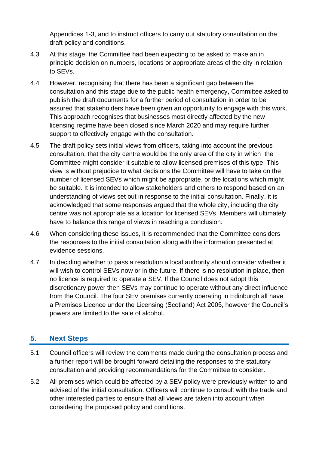Appendices 1-3, and to instruct officers to carry out statutory consultation on the draft policy and conditions.

- 4.3 At this stage, the Committee had been expecting to be asked to make an in principle decision on numbers, locations or appropriate areas of the city in relation to SEVs.
- 4.4 However, recognising that there has been a significant gap between the consultation and this stage due to the public health emergency, Committee asked to publish the draft documents for a further period of consultation in order to be assured that stakeholders have been given an opportunity to engage with this work. This approach recognises that businesses most directly affected by the new licensing regime have been closed since March 2020 and may require further support to effectively engage with the consultation.
- 4.5 The draft policy sets initial views from officers, taking into account the previous consultation, that the city centre would be the only area of the city in which the Committee might consider it suitable to allow licensed premises of this type. This view is without prejudice to what decisions the Committee will have to take on the number of licensed SEVs which might be appropriate, or the locations which might be suitable. It is intended to allow stakeholders and others to respond based on an understanding of views set out in response to the initial consultation. Finally, it is acknowledged that some responses argued that the whole city, including the city centre was not appropriate as a location for licensed SEVs. Members will ultimately have to balance this range of views in reaching a conclusion.
- 4.6 When considering these issues, it is recommended that the Committee considers the responses to the initial consultation along with the information presented at evidence sessions.
- 4.7 In deciding whether to pass a resolution a local authority should consider whether it will wish to control SEVs now or in the future. If there is no resolution in place, then no licence is required to operate a SEV. If the Council does not adopt this discretionary power then SEVs may continue to operate without any direct influence from the Council. The four SEV premises currently operating in Edinburgh all have a Premises Licence under the Licensing (Scotland) Act 2005, however the Council's powers are limited to the sale of alcohol.

## **5. Next Steps**

- 5.1 Council officers will review the comments made during the consultation process and a further report will be brought forward detailing the responses to the statutory consultation and providing recommendations for the Committee to consider.
- 5.2 All premises which could be affected by a SEV policy were previously written to and advised of the initial consultation. Officers will continue to consult with the trade and other interested parties to ensure that all views are taken into account when considering the proposed policy and conditions.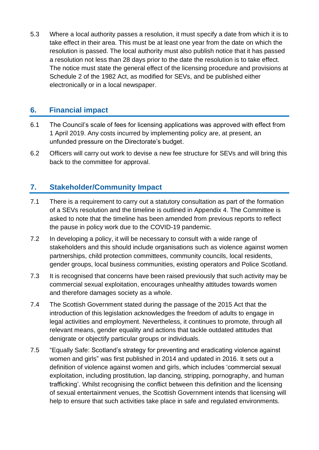5.3 Where a local authority passes a resolution, it must specify a date from which it is to take effect in their area. This must be at least one year from the date on which the resolution is passed. The local authority must also publish notice that it has passed a resolution not less than 28 days prior to the date the resolution is to take effect. The notice must state the general effect of the licensing procedure and provisions at Schedule 2 of the 1982 Act, as modified for SEVs, and be published either electronically or in a local newspaper.

## **6. Financial impact**

- 6.1 The Council's scale of fees for licensing applications was approved with effect from 1 April 2019. Any costs incurred by implementing policy are, at present, an unfunded pressure on the Directorate's budget.
- 6.2 Officers will carry out work to devise a new fee structure for SEVs and will bring this back to the committee for approval.

## **7. Stakeholder/Community Impact**

- 7.1 There is a requirement to carry out a statutory consultation as part of the formation of a SEVs resolution and the timeline is outlined in Appendix 4. The Committee is asked to note that the timeline has been amended from previous reports to reflect the pause in policy work due to the COVID-19 pandemic.
- 7.2 In developing a policy, it will be necessary to consult with a wide range of stakeholders and this should include organisations such as violence against women partnerships, child protection committees, community councils, local residents, gender groups, local business communities, existing operators and Police Scotland.
- 7.3 It is recognised that concerns have been raised previously that such activity may be commercial sexual exploitation, encourages unhealthy attitudes towards women and therefore damages society as a whole.
- 7.4 The Scottish Government stated during the passage of the 2015 Act that the introduction of this legislation acknowledges the freedom of adults to engage in legal activities and employment. Nevertheless, it continues to promote, through all relevant means, gender equality and actions that tackle outdated attitudes that denigrate or objectify particular groups or individuals.
- 7.5 "Equally Safe: Scotland's strategy for preventing and eradicating violence against women and girls" was first published in 2014 and updated in 2016. It sets out a definition of violence against women and girls, which includes 'commercial sexual exploitation, including prostitution, lap dancing, stripping, pornography, and human trafficking'. Whilst recognising the conflict between this definition and the licensing of sexual entertainment venues, the Scottish Government intends that licensing will help to ensure that such activities take place in safe and regulated environments.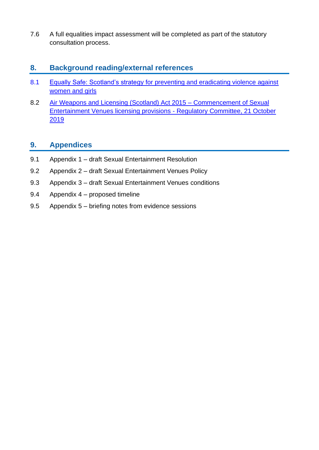7.6 A full equalities impact assessment will be completed as part of the statutory consultation process.

## **8. Background reading/external references**

- 8.1 [Equally Safe: Scotland's strategy for preventing and eradicating violence against](https://www.gov.scot/publications/equally-safe-scotlands-strategy-prevent-eradicate-violence-against-women-girls/)  [women and girls](https://www.gov.scot/publications/equally-safe-scotlands-strategy-prevent-eradicate-violence-against-women-girls/)
- 8.2 [Air Weapons and Licensing \(Scotland\) Act 2015 –](https://democracy.edinburgh.gov.uk/ieListDocuments.aspx?CId=144&MId=371&Ver=4) Commencement of Sexual [Entertainment Venues licensing provisions](https://democracy.edinburgh.gov.uk/ieListDocuments.aspx?CId=144&MId=371&Ver=4) - Regulatory Committee, 21 October [2019](https://democracy.edinburgh.gov.uk/ieListDocuments.aspx?CId=144&MId=371&Ver=4)

## **9. Appendices**

- 9.1 Appendix 1 draft Sexual Entertainment Resolution
- 9.2 Appendix 2 draft Sexual Entertainment Venues Policy
- 9.3 Appendix 3 draft Sexual Entertainment Venues conditions
- 9.4 Appendix 4 proposed timeline
- 9.5 Appendix 5 briefing notes from evidence sessions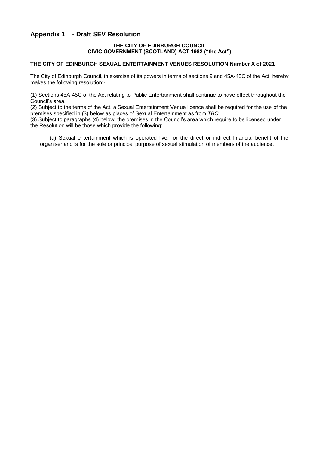#### **Appendix 1 - Draft SEV Resolution**

#### **THE CITY OF EDINBURGH COUNCIL CIVIC GOVERNMENT (SCOTLAND) ACT 1982 ("the Act")**

#### **THE CITY OF EDINBURGH SEXUAL ENTERTAINMENT VENUES RESOLUTION Number X of 2021**

The City of Edinburgh Council, in exercise of its powers in terms of sections 9 and 45A-45C of the Act, hereby makes the following resolution:-

(1) Sections 45A-45C of the Act relating to Public Entertainment shall continue to have effect throughout the Council's area.

(2) Subject to the terms of the Act, a Sexual Entertainment Venue licence shall be required for the use of the premises specified in (3) below as places of Sexual Entertainment as from *TBC*

(3) Subject to paragraphs (4) below, the premises in the Council's area which require to be licensed under the Resolution will be those which provide the following:

(a) Sexual entertainment which is operated live, for the direct or indirect financial benefit of the organiser and is for the sole or principal purpose of sexual stimulation of members of the audience.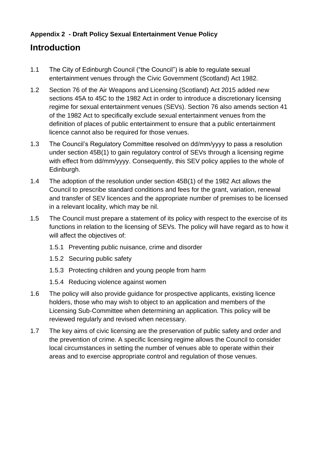## **Appendix 2 - Draft Policy Sexual Entertainment Venue Policy**

## **Introduction**

- 1.1 The City of Edinburgh Council ("the Council") is able to regulate sexual entertainment venues through the Civic Government (Scotland) Act 1982.
- 1.2 Section 76 of the Air Weapons and Licensing (Scotland) Act 2015 added new sections 45A to 45C to the 1982 Act in order to introduce a discretionary licensing regime for sexual entertainment venues (SEVs). Section 76 also amends section 41 of the 1982 Act to specifically exclude sexual entertainment venues from the definition of places of public entertainment to ensure that a public entertainment licence cannot also be required for those venues.
- 1.3 The Council's Regulatory Committee resolved on dd/mm/yyyy to pass a resolution under section 45B(1) to gain regulatory control of SEVs through a licensing regime with effect from dd/mm/yyyy. Consequently, this SEV policy applies to the whole of Edinburgh.
- 1.4 The adoption of the resolution under section 45B(1) of the 1982 Act allows the Council to prescribe standard conditions and fees for the grant, variation, renewal and transfer of SEV licences and the appropriate number of premises to be licensed in a relevant locality, which may be nil.
- 1.5 The Council must prepare a statement of its policy with respect to the exercise of its functions in relation to the licensing of SEVs. The policy will have regard as to how it will affect the objectives of:
	- 1.5.1 Preventing public nuisance, crime and disorder
	- 1.5.2 Securing public safety
	- 1.5.3 Protecting children and young people from harm
	- 1.5.4 Reducing violence against women
- 1.6 The policy will also provide guidance for prospective applicants, existing licence holders, those who may wish to object to an application and members of the Licensing Sub-Committee when determining an application. This policy will be reviewed regularly and revised when necessary.
- 1.7 The key aims of civic licensing are the preservation of public safety and order and the prevention of crime. A specific licensing regime allows the Council to consider local circumstances in setting the number of venues able to operate within their areas and to exercise appropriate control and regulation of those venues.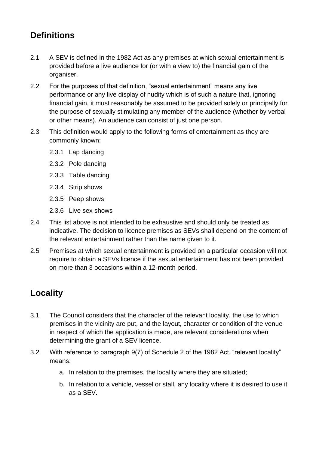## **Definitions**

- 2.1 A SEV is defined in the 1982 Act as any premises at which sexual entertainment is provided before a live audience for (or with a view to) the financial gain of the organiser.
- 2.2 For the purposes of that definition, "sexual entertainment" means any live performance or any live display of nudity which is of such a nature that, ignoring financial gain, it must reasonably be assumed to be provided solely or principally for the purpose of sexually stimulating any member of the audience (whether by verbal or other means). An audience can consist of just one person.
- 2.3 This definition would apply to the following forms of entertainment as they are commonly known:
	- 2.3.1 Lap dancing
	- 2.3.2 Pole dancing
	- 2.3.3 Table dancing
	- 2.3.4 Strip shows
	- 2.3.5 Peep shows
	- 2.3.6 Live sex shows
- 2.4 This list above is not intended to be exhaustive and should only be treated as indicative. The decision to licence premises as SEVs shall depend on the content of the relevant entertainment rather than the name given to it.
- 2.5 Premises at which sexual entertainment is provided on a particular occasion will not require to obtain a SEVs licence if the sexual entertainment has not been provided on more than 3 occasions within a 12-month period.

## **Locality**

- 3.1 The Council considers that the character of the relevant locality, the use to which premises in the vicinity are put, and the layout, character or condition of the venue in respect of which the application is made, are relevant considerations when determining the grant of a SEV licence.
- 3.2 With reference to paragraph 9(7) of Schedule 2 of the 1982 Act, "relevant locality" means:
	- a. In relation to the premises, the locality where they are situated;
	- b. In relation to a vehicle, vessel or stall, any locality where it is desired to use it as a SEV.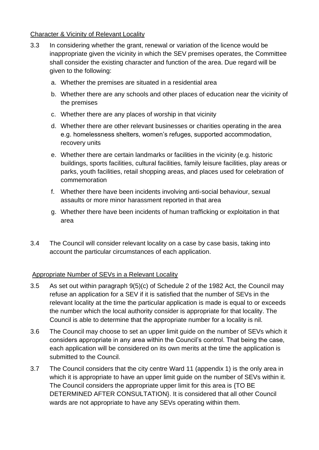#### Character & Vicinity of Relevant Locality

- 3.3 In considering whether the grant, renewal or variation of the licence would be inappropriate given the vicinity in which the SEV premises operates, the Committee shall consider the existing character and function of the area. Due regard will be given to the following:
	- a. Whether the premises are situated in a residential area
	- b. Whether there are any schools and other places of education near the vicinity of the premises
	- c. Whether there are any places of worship in that vicinity
	- d. Whether there are other relevant businesses or charities operating in the area e.g. homelessness shelters, women's refuges, supported accommodation, recovery units
	- e. Whether there are certain landmarks or facilities in the vicinity (e.g. historic buildings, sports facilities, cultural facilities, family leisure facilities, play areas or parks, youth facilities, retail shopping areas, and places used for celebration of commemoration
	- f. Whether there have been incidents involving anti-social behaviour, sexual assaults or more minor harassment reported in that area
	- g. Whether there have been incidents of human trafficking or exploitation in that area
- 3.4 The Council will consider relevant locality on a case by case basis, taking into account the particular circumstances of each application.

## Appropriate Number of SEVs in a Relevant Locality

- 3.5 As set out within paragraph 9(5)(c) of Schedule 2 of the 1982 Act, the Council may refuse an application for a SEV if it is satisfied that the number of SEVs in the relevant locality at the time the particular application is made is equal to or exceeds the number which the local authority consider is appropriate for that locality. The Council is able to determine that the appropriate number for a locality is nil.
- 3.6 The Council may choose to set an upper limit guide on the number of SEVs which it considers appropriate in any area within the Council's control. That being the case, each application will be considered on its own merits at the time the application is submitted to the Council.
- 3.7 The Council considers that the city centre Ward 11 (appendix 1) is the only area in which it is appropriate to have an upper limit guide on the number of SEVs within it. The Council considers the appropriate upper limit for this area is {TO BE DETERMINED AFTER CONSULTATION}. It is considered that all other Council wards are not appropriate to have any SEVs operating within them.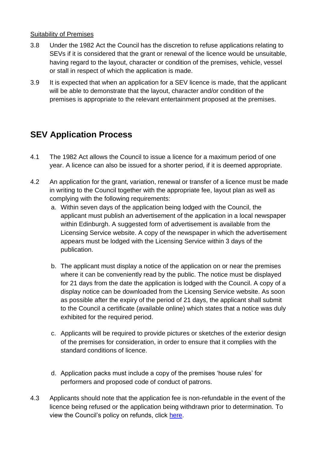### Suitability of Premises

- 3.8 Under the 1982 Act the Council has the discretion to refuse applications relating to SEVs if it is considered that the grant or renewal of the licence would be unsuitable, having regard to the layout, character or condition of the premises, vehicle, vessel or stall in respect of which the application is made.
- 3.9 It is expected that when an application for a SEV licence is made, that the applicant will be able to demonstrate that the layout, character and/or condition of the premises is appropriate to the relevant entertainment proposed at the premises.

## **SEV Application Process**

- 4.1 The 1982 Act allows the Council to issue a licence for a maximum period of one year. A licence can also be issued for a shorter period, if it is deemed appropriate.
- 4.2 An application for the grant, variation, renewal or transfer of a licence must be made in writing to the Council together with the appropriate fee, layout plan as well as complying with the following requirements:
	- a. Within seven days of the application being lodged with the Council, the applicant must publish an advertisement of the application in a local newspaper within Edinburgh. A suggested form of advertisement is available from the Licensing Service website. A copy of the newspaper in which the advertisement appears must be lodged with the Licensing Service within 3 days of the publication.
	- b. The applicant must display a notice of the application on or near the premises where it can be conveniently read by the public. The notice must be displayed for 21 days from the date the application is lodged with the Council. A copy of a display notice can be downloaded from the Licensing Service website. As soon as possible after the expiry of the period of 21 days, the applicant shall submit to the Council a certificate (available online) which states that a notice was duly exhibited for the required period.
	- c. Applicants will be required to provide pictures or sketches of the exterior design of the premises for consideration, in order to ensure that it complies with the standard conditions of licence.
	- d. Application packs must include a copy of the premises 'house rules' for performers and proposed code of conduct of patrons.
- 4.3 Applicants should note that the application fee is non-refundable in the event of the licence being refused or the application being withdrawn prior to determination. To view the Council's policy on refunds, click [here.](https://www.edinburgh.gov.uk/downloads/file/24281/licence-application-fee-refunds-policy)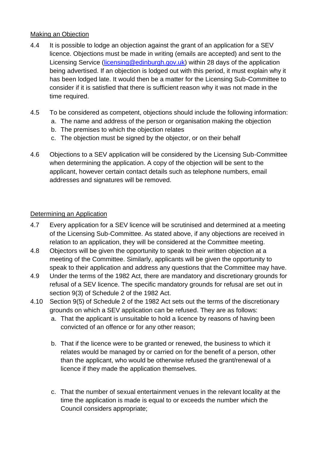## Making an Objection

- 4.4 It is possible to lodge an objection against the grant of an application for a SEV licence. Objections must be made in writing (emails are accepted) and sent to the Licensing Service [\(licensing@edinburgh.gov.uk\)](mailto:licensing@edinburgh.gov.uk) within 28 days of the application being advertised. If an objection is lodged out with this period, it must explain why it has been lodged late. It would then be a matter for the Licensing Sub-Committee to consider if it is satisfied that there is sufficient reason why it was not made in the time required.
- 4.5 To be considered as competent, objections should include the following information:
	- a. The name and address of the person or organisation making the objection
		- b. The premises to which the objection relates
		- c. The objection must be signed by the objector, or on their behalf
- 4.6 Objections to a SEV application will be considered by the Licensing Sub-Committee when determining the application. A copy of the objection will be sent to the applicant, however certain contact details such as telephone numbers, email addresses and signatures will be removed.

## Determining an Application

- 4.7 Every application for a SEV licence will be scrutinised and determined at a meeting of the Licensing Sub-Committee. As stated above, if any objections are received in relation to an application, they will be considered at the Committee meeting.
- 4.8 Objectors will be given the opportunity to speak to their written objection at a meeting of the Committee. Similarly, applicants will be given the opportunity to speak to their application and address any questions that the Committee may have.
- 4.9 Under the terms of the 1982 Act, there are mandatory and discretionary grounds for refusal of a SEV licence. The specific mandatory grounds for refusal are set out in section 9(3) of Schedule 2 of the 1982 Act.
- 4.10 Section 9(5) of Schedule 2 of the 1982 Act sets out the terms of the discretionary grounds on which a SEV application can be refused. They are as follows:
	- a. That the applicant is unsuitable to hold a licence by reasons of having been convicted of an offence or for any other reason;
	- b. That if the licence were to be granted or renewed, the business to which it relates would be managed by or carried on for the benefit of a person, other than the applicant, who would be otherwise refused the grant/renewal of a licence if they made the application themselves.
	- c. That the number of sexual entertainment venues in the relevant locality at the time the application is made is equal to or exceeds the number which the Council considers appropriate;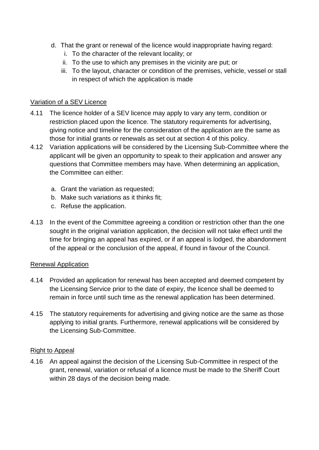- d. That the grant or renewal of the licence would inappropriate having regard:
	- i. To the character of the relevant locality; or
	- ii. To the use to which any premises in the vicinity are put; or
	- iii. To the layout, character or condition of the premises, vehicle, vessel or stall in respect of which the application is made

## Variation of a SEV Licence

- 4.11 The licence holder of a SEV licence may apply to vary any term, condition or restriction placed upon the licence. The statutory requirements for advertising, giving notice and timeline for the consideration of the application are the same as those for initial grants or renewals as set out at section 4 of this policy.
- 4.12 Variation applications will be considered by the Licensing Sub-Committee where the applicant will be given an opportunity to speak to their application and answer any questions that Committee members may have. When determining an application, the Committee can either:
	- a. Grant the variation as requested;
	- b. Make such variations as it thinks fit;
	- c. Refuse the application.
- 4.13 In the event of the Committee agreeing a condition or restriction other than the one sought in the original variation application, the decision will not take effect until the time for bringing an appeal has expired, or if an appeal is lodged, the abandonment of the appeal or the conclusion of the appeal, if found in favour of the Council.

## Renewal Application

- 4.14 Provided an application for renewal has been accepted and deemed competent by the Licensing Service prior to the date of expiry, the licence shall be deemed to remain in force until such time as the renewal application has been determined.
- 4.15 The statutory requirements for advertising and giving notice are the same as those applying to initial grants. Furthermore, renewal applications will be considered by the Licensing Sub-Committee.

## Right to Appeal

4.16 An appeal against the decision of the Licensing Sub-Committee in respect of the grant, renewal, variation or refusal of a licence must be made to the Sheriff Court within 28 days of the decision being made.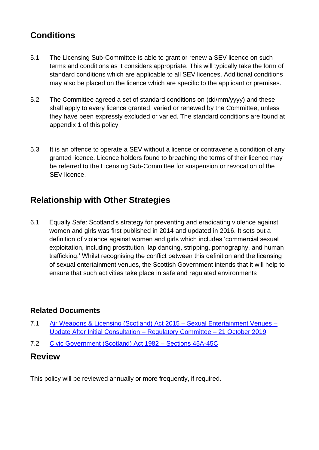## **Conditions**

- 5.1 The Licensing Sub-Committee is able to grant or renew a SEV licence on such terms and conditions as it considers appropriate. This will typically take the form of standard conditions which are applicable to all SEV licences. Additional conditions may also be placed on the licence which are specific to the applicant or premises.
- 5.2 The Committee agreed a set of standard conditions on (dd/mm/yyyy) and these shall apply to every licence granted, varied or renewed by the Committee, unless they have been expressly excluded or varied. The standard conditions are found at appendix 1 of this policy.
- 5.3 It is an offence to operate a SEV without a licence or contravene a condition of any granted licence. Licence holders found to breaching the terms of their licence may be referred to the Licensing Sub-Committee for suspension or revocation of the SEV licence.

## **Relationship with Other Strategies**

6.1 Equally Safe: Scotland's strategy for preventing and eradicating violence against women and girls was first published in 2014 and updated in 2016. It sets out a definition of violence against women and girls which includes 'commercial sexual exploitation, including prostitution, lap dancing, stripping, pornography, and human trafficking.' Whilst recognising the conflict between this definition and the licensing of sexual entertainment venues, the Scottish Government intends that it will help to ensure that such activities take place in safe and regulated environments

## **Related Documents**

- 7.1 [Air Weapons & Licensing \(Scotland\) Act 2015 –](https://democracy.edinburgh.gov.uk/ieListDocuments.aspx?CId=144&MId=371&Ver=4) Sexual Entertainment Venues [Update After Initial Consultation –](https://democracy.edinburgh.gov.uk/ieListDocuments.aspx?CId=144&MId=371&Ver=4) Regulatory Committee – 21 October 2019
- 7.2 [Civic Government \(Scotland\) Act 1982 –](https://www.legislation.gov.uk/ukpga/1982/45/section/45A) Sections 45A-45C

## **Review**

This policy will be reviewed annually or more frequently, if required.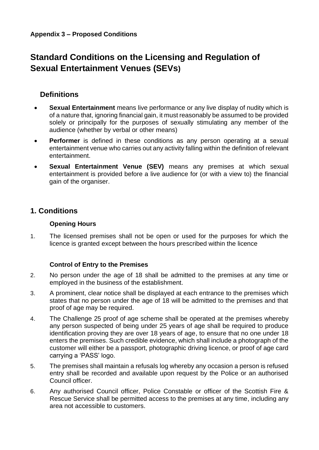## **Standard Conditions on the Licensing and Regulation of Sexual Entertainment Venues (SEVs)**

## **Definitions**

- **Sexual Entertainment** means live performance or any live display of nudity which is of a nature that, ignoring financial gain, it must reasonably be assumed to be provided solely or principally for the purposes of sexually stimulating any member of the audience (whether by verbal or other means)
- **Performer** is defined in these conditions as any person operating at a sexual entertainment venue who carries out any activity falling within the definition of relevant entertainment.
- **Sexual Entertainment Venue (SEV)** means any premises at which sexual entertainment is provided before a live audience for (or with a view to) the financial gain of the organiser.

## **1. Conditions**

## **Opening Hours**

1. The licensed premises shall not be open or used for the purposes for which the licence is granted except between the hours prescribed within the licence

## **Control of Entry to the Premises**

- 2. No person under the age of 18 shall be admitted to the premises at any time or employed in the business of the establishment.
- 3. A prominent, clear notice shall be displayed at each entrance to the premises which states that no person under the age of 18 will be admitted to the premises and that proof of age may be required.
- 4. The Challenge 25 proof of age scheme shall be operated at the premises whereby any person suspected of being under 25 years of age shall be required to produce identification proving they are over 18 years of age, to ensure that no one under 18 enters the premises. Such credible evidence, which shall include a photograph of the customer will either be a passport, photographic driving licence, or proof of age card carrying a 'PASS' logo.
- 5. The premises shall maintain a refusals log whereby any occasion a person is refused entry shall be recorded and available upon request by the Police or an authorised Council officer.
- 6. Any authorised Council officer, Police Constable or officer of the Scottish Fire & Rescue Service shall be permitted access to the premises at any time, including any area not accessible to customers.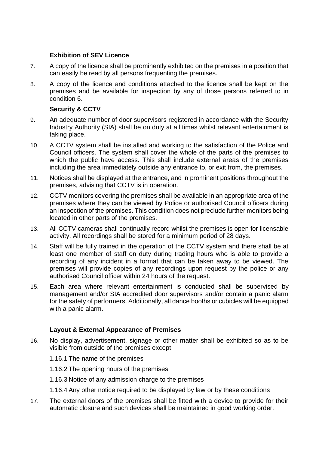## **Exhibition of SEV Licence**

- 7. A copy of the licence shall be prominently exhibited on the premises in a position that can easily be read by all persons frequenting the premises.
- 8. A copy of the licence and conditions attached to the licence shall be kept on the premises and be available for inspection by any of those persons referred to in condition 6.

## **Security & CCTV**

- 9. An adequate number of door supervisors registered in accordance with the Security Industry Authority (SIA) shall be on duty at all times whilst relevant entertainment is taking place.
- 10. A CCTV system shall be installed and working to the satisfaction of the Police and Council officers. The system shall cover the whole of the parts of the premises to which the public have access. This shall include external areas of the premises including the area immediately outside any entrance to, or exit from, the premises.
- 11. Notices shall be displayed at the entrance, and in prominent positions throughout the premises, advising that CCTV is in operation.
- 12. CCTV monitors covering the premises shall be available in an appropriate area of the premises where they can be viewed by Police or authorised Council officers during an inspection of the premises. This condition does not preclude further monitors being located in other parts of the premises.
- 13. All CCTV cameras shall continually record whilst the premises is open for licensable activity. All recordings shall be stored for a minimum period of 28 days.
- 14. Staff will be fully trained in the operation of the CCTV system and there shall be at least one member of staff on duty during trading hours who is able to provide a recording of any incident in a format that can be taken away to be viewed. The premises will provide copies of any recordings upon request by the police or any authorised Council officer within 24 hours of the request.
- 15. Each area where relevant entertainment is conducted shall be supervised by management and/or SIA accredited door supervisors and/or contain a panic alarm for the safety of performers. Additionally, all dance booths or cubicles will be equipped with a panic alarm.

## **Layout & External Appearance of Premises**

- 16. No display, advertisement, signage or other matter shall be exhibited so as to be visible from outside of the premises except:
	- 1.16.1 The name of the premises
	- 1.16.2 The opening hours of the premises
	- 1.16.3 Notice of any admission charge to the premises
	- 1.16.4 Any other notice required to be displayed by law or by these conditions
- 17. The external doors of the premises shall be fitted with a device to provide for their automatic closure and such devices shall be maintained in good working order.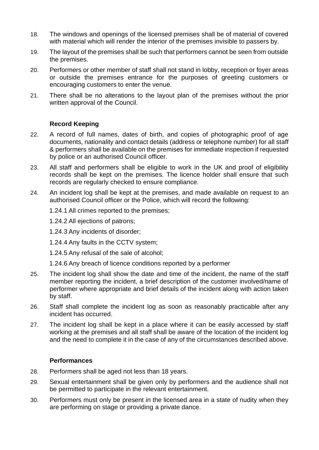- 18. The windows and openings of the licensed premises shall be of material of covered with material which will render the interior of the premises invisible to passers by.
- 19. The layout of the premises shall be such that performers cannot be seen from outside the premises.
- 20. Performers or other member of staff shall not stand in lobby, reception or foyer areas or outside the premises entrance for the purposes of greeting customers or encouraging customers to enter the venue.
- 21. There shall be no alterations to the layout plan of the premises without the prior written approval of the Council.

#### **Record Keeping**

- 22. A record of full names, dates of birth, and copies of photographic proof of age documents, nationality and contact details (address or telephone number) for all staff & performers shall be available on the premises for immediate inspection if requested by police or an authorised Council officer.
- 23. All staff and performers shall be eligible to work in the UK and proof of eligibility records shall be kept on the premises. The licence holder shall ensure that such records are regularly checked to ensure compliance.
- 24. An incident log shall be kept at the premises, and made available on request to an authorised Council officer or the Police, which will record the following:

1.24.1 All crimes reported to the premises;

1.24.2 All ejections of patrons;

1.24.3 Any incidents of disorder;

1.24.4 Any faults in the CCTV system;

1.24.5 Any refusal of the sale of alcohol;

1.24.6 Any breach of licence conditions reported by a performer

- 25. The incident log shall show the date and time of the incident, the name of the staff member reporting the incident, a brief description of the customer involved/name of performer where appropriate and brief details of the incident along with action taken by staff.
- 26. Staff shall complete the incident log as soon as reasonably practicable after any incident has occurred.
- 27. The incident log shall be kept in a place where it can be easily accessed by staff working at the premises and all staff shall be aware of the location of the incident log and the need to complete it in the case of any of the circumstances described above.

## **Performances**

- 28. Performers shall be aged not less than 18 years.
- 29. Sexual entertainment shall be given only by performers and the audience shall not be permitted to participate in the relevant entertainment.
- 30. Performers must only be present in the licensed area in a state of nudity when they are performing on stage or providing a private dance.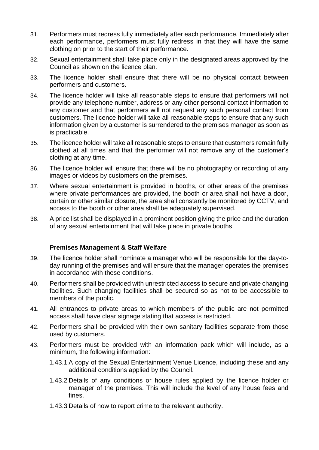- 31. Performers must redress fully immediately after each performance. Immediately after each performance, performers must fully redress in that they will have the same clothing on prior to the start of their performance.
- 32. Sexual entertainment shall take place only in the designated areas approved by the Council as shown on the licence plan.
- 33. The licence holder shall ensure that there will be no physical contact between performers and customers.
- 34. The licence holder will take all reasonable steps to ensure that performers will not provide any telephone number, address or any other personal contact information to any customer and that performers will not request any such personal contact from customers. The licence holder will take all reasonable steps to ensure that any such information given by a customer is surrendered to the premises manager as soon as is practicable.
- 35. The licence holder will take all reasonable steps to ensure that customers remain fully clothed at all times and that the performer will not remove any of the customer's clothing at any time.
- 36. The licence holder will ensure that there will be no photography or recording of any images or videos by customers on the premises.
- 37. Where sexual entertainment is provided in booths, or other areas of the premises where private performances are provided, the booth or area shall not have a door, curtain or other similar closure, the area shall constantly be monitored by CCTV, and access to the booth or other area shall be adequately supervised.
- 38. A price list shall be displayed in a prominent position giving the price and the duration of any sexual entertainment that will take place in private booths

#### **Premises Management & Staff Welfare**

- 39. The licence holder shall nominate a manager who will be responsible for the day-today running of the premises and will ensure that the manager operates the premises in accordance with these conditions.
- 40. Performers shall be provided with unrestricted access to secure and private changing facilities. Such changing facilities shall be secured so as not to be accessible to members of the public.
- 41. All entrances to private areas to which members of the public are not permitted access shall have clear signage stating that access is restricted.
- 42. Performers shall be provided with their own sanitary facilities separate from those used by customers.
- 43. Performers must be provided with an information pack which will include, as a minimum, the following information:
	- 1.43.1 A copy of the Sexual Entertainment Venue Licence, including these and any additional conditions applied by the Council.
	- 1.43.2 Details of any conditions or house rules applied by the licence holder or manager of the premises. This will include the level of any house fees and fines.
	- 1.43.3 Details of how to report crime to the relevant authority.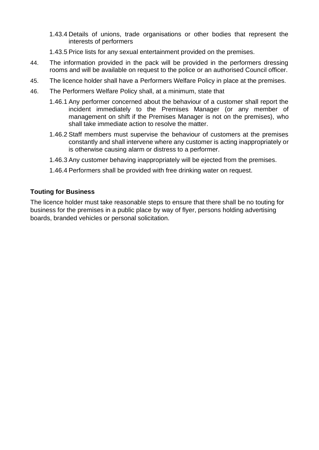- 1.43.4 Details of unions, trade organisations or other bodies that represent the interests of performers
- 1.43.5 Price lists for any sexual entertainment provided on the premises.
- 44. The information provided in the pack will be provided in the performers dressing rooms and will be available on request to the police or an authorised Council officer.
- 45. The licence holder shall have a Performers Welfare Policy in place at the premises.
- 46. The Performers Welfare Policy shall, at a minimum, state that
	- 1.46.1 Any performer concerned about the behaviour of a customer shall report the incident immediately to the Premises Manager (or any member of management on shift if the Premises Manager is not on the premises), who shall take immediate action to resolve the matter.
	- 1.46.2 Staff members must supervise the behaviour of customers at the premises constantly and shall intervene where any customer is acting inappropriately or is otherwise causing alarm or distress to a performer.
	- 1.46.3 Any customer behaving inappropriately will be ejected from the premises.
	- 1.46.4 Performers shall be provided with free drinking water on request.

#### **Touting for Business**

The licence holder must take reasonable steps to ensure that there shall be no touting for business for the premises in a public place by way of flyer, persons holding advertising boards, branded vehicles or personal solicitation.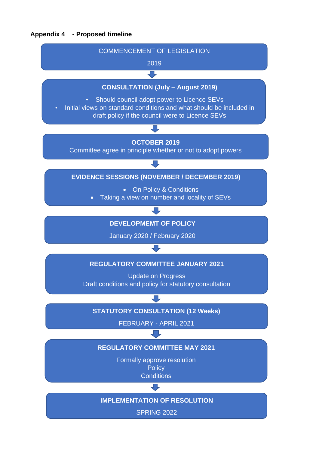#### **Appendix 4 - Proposed timeline**



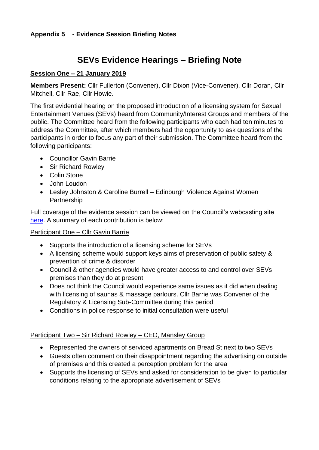## **Appendix 5 - Evidence Session Briefing Notes**

## **SEVs Evidence Hearings – Briefing Note**

## **Session One – 21 January 2019**

**Members Present:** Cllr Fullerton (Convener), Cllr Dixon (Vice-Convener), Cllr Doran, Cllr Mitchell, Cllr Rae, Cllr Howie.

The first evidential hearing on the proposed introduction of a licensing system for Sexual Entertainment Venues (SEVs) heard from Community/Interest Groups and members of the public. The Committee heard from the following participants who each had ten minutes to address the Committee, after which members had the opportunity to ask questions of the participants in order to focus any part of their submission. The Committee heard from the following participants:

- Councillor Gavin Barrie
- Sir Richard Rowley
- Colin Stone
- John Loudon
- Lesley Johnston & Caroline Burrell Edinburgh Violence Against Women Partnership

Full coverage of the evidence session can be viewed on the Council's webcasting site [here.](https://edinburgh.public-i.tv/core/portal/webcast_interactive/467129) A summary of each contribution is below:

## Participant One – Cllr Gavin Barrie

- Supports the introduction of a licensing scheme for SEVs
- A licensing scheme would support keys aims of preservation of public safety & prevention of crime & disorder
- Council & other agencies would have greater access to and control over SEVs premises than they do at present
- Does not think the Council would experience same issues as it did when dealing with licensing of saunas & massage parlours. Cllr Barrie was Convener of the Regulatory & Licensing Sub-Committee during this period
- Conditions in police response to initial consultation were useful

## Participant Two – Sir Richard Rowley – CEO, Mansley Group

- Represented the owners of serviced apartments on Bread St next to two SEVs
- Guests often comment on their disappointment regarding the advertising on outside of premises and this created a perception problem for the area
- Supports the licensing of SEVs and asked for consideration to be given to particular conditions relating to the appropriate advertisement of SEVs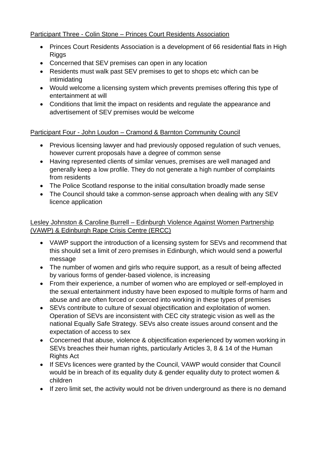## Participant Three - Colin Stone – Princes Court Residents Association

- Princes Court Residents Association is a development of 66 residential flats in High Riggs
- Concerned that SEV premises can open in any location
- Residents must walk past SEV premises to get to shops etc which can be intimidating
- Would welcome a licensing system which prevents premises offering this type of entertainment at will
- Conditions that limit the impact on residents and regulate the appearance and advertisement of SEV premises would be welcome

## Participant Four - John Loudon – Cramond & Barnton Community Council

- Previous licensing lawyer and had previously opposed regulation of such venues, however current proposals have a degree of common sense
- Having represented clients of similar venues, premises are well managed and generally keep a low profile. They do not generate a high number of complaints from residents
- The Police Scotland response to the initial consultation broadly made sense
- The Council should take a common-sense approach when dealing with any SEV licence application

## Lesley Johnston & Caroline Burrell – Edinburgh Violence Against Women Partnership (VAWP) & Edinburgh Rape Crisis Centre (ERCC)

- VAWP support the introduction of a licensing system for SEVs and recommend that this should set a limit of zero premises in Edinburgh, which would send a powerful message
- The number of women and girls who require support, as a result of being affected by various forms of gender-based violence, is increasing
- From their experience, a number of women who are employed or self-employed in the sexual entertainment industry have been exposed to multiple forms of harm and abuse and are often forced or coerced into working in these types of premises
- SEVs contribute to culture of sexual objectification and exploitation of women. Operation of SEVs are inconsistent with CEC city strategic vision as well as the national Equally Safe Strategy. SEVs also create issues around consent and the expectation of access to sex
- Concerned that abuse, violence & objectification experienced by women working in SEVs breaches their human rights, particularly Articles 3, 8 & 14 of the Human **Rights Act**
- If SEVs licences were granted by the Council, VAWP would consider that Council would be in breach of its equality duty & gender equality duty to protect women & children
- If zero limit set, the activity would not be driven underground as there is no demand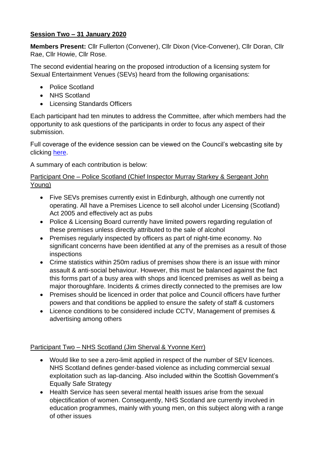## **Session Two – 31 January 2020**

**Members Present:** Cllr Fullerton (Convener), Cllr Dixon (Vice-Convener), Cllr Doran, Cllr Rae, Cllr Howie, Cllr Rose.

The second evidential hearing on the proposed introduction of a licensing system for Sexual Entertainment Venues (SEVs) heard from the following organisations:

- Police Scotland
- NHS Scotland
- Licensing Standards Officers

Each participant had ten minutes to address the Committee, after which members had the opportunity to ask questions of the participants in order to focus any aspect of their submission.

Full coverage of the evidence session can be viewed on the Council's webcasting site by clicking [here.](https://edinburgh.public-i.tv/core/portal/webcast_interactive/467140)

A summary of each contribution is below:

## Participant One - Police Scotland (Chief Inspector Murray Starkey & Sergeant John Young)

- Five SEVs premises currently exist in Edinburgh, although one currently not operating. All have a Premises Licence to sell alcohol under Licensing (Scotland) Act 2005 and effectively act as pubs
- Police & Licensing Board currently have limited powers regarding regulation of these premises unless directly attributed to the sale of alcohol
- Premises regularly inspected by officers as part of night-time economy. No significant concerns have been identified at any of the premises as a result of those inspections
- Crime statistics within 250m radius of premises show there is an issue with minor assault & anti-social behaviour. However, this must be balanced against the fact this forms part of a busy area with shops and licenced premises as well as being a major thoroughfare. Incidents & crimes directly connected to the premises are low
- Premises should be licenced in order that police and Council officers have further powers and that conditions be applied to ensure the safety of staff & customers
- Licence conditions to be considered include CCTV, Management of premises & advertising among others

Participant Two – NHS Scotland (Jim Sherval & Yvonne Kerr)

- Would like to see a zero-limit applied in respect of the number of SEV licences. NHS Scotland defines gender-based violence as including commercial sexual exploitation such as lap-dancing. Also included within the Scottish Government's Equally Safe Strategy
- Health Service has seen several mental health issues arise from the sexual objectification of women. Consequently, NHS Scotland are currently involved in education programmes, mainly with young men, on this subject along with a range of other issues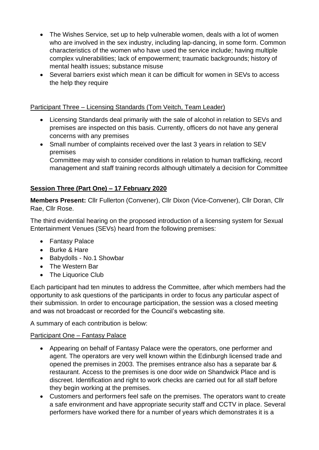- The Wishes Service, set up to help vulnerable women, deals with a lot of women who are involved in the sex industry, including lap-dancing, in some form. Common characteristics of the women who have used the service include; having multiple complex vulnerabilities; lack of empowerment; traumatic backgrounds; history of mental health issues; substance misuse
- Several barriers exist which mean it can be difficult for women in SEVs to access the help they require

## Participant Three – Licensing Standards (Tom Veitch, Team Leader)

- Licensing Standards deal primarily with the sale of alcohol in relation to SEVs and premises are inspected on this basis. Currently, officers do not have any general concerns with any premises
- Small number of complaints received over the last 3 years in relation to SEV premises

Committee may wish to consider conditions in relation to human trafficking, record management and staff training records although ultimately a decision for Committee

## **Session Three (Part One) – 17 February 2020**

**Members Present:** Cllr Fullerton (Convener), Cllr Dixon (Vice-Convener), Cllr Doran, Cllr Rae, Cllr Rose.

The third evidential hearing on the proposed introduction of a licensing system for Sexual Entertainment Venues (SEVs) heard from the following premises:

- Fantasy Palace
- Burke & Hare
- Babydolls No.1 Showbar
- The Western Bar
- The Liquorice Club

Each participant had ten minutes to address the Committee, after which members had the opportunity to ask questions of the participants in order to focus any particular aspect of their submission. In order to encourage participation, the session was a closed meeting and was not broadcast or recorded for the Council's webcasting site.

A summary of each contribution is below:

## Participant One – Fantasy Palace

- Appearing on behalf of Fantasy Palace were the operators, one performer and agent. The operators are very well known within the Edinburgh licensed trade and opened the premises in 2003. The premises entrance also has a separate bar & restaurant. Access to the premises is one door wide on Shandwick Place and is discreet. Identification and right to work checks are carried out for all staff before they begin working at the premises.
- Customers and performers feel safe on the premises. The operators want to create a safe environment and have appropriate security staff and CCTV in place. Several performers have worked there for a number of years which demonstrates it is a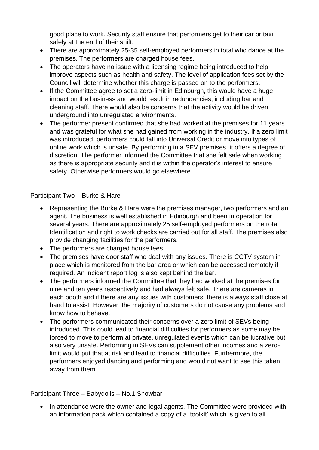good place to work. Security staff ensure that performers get to their car or taxi safely at the end of their shift.

- There are approximately 25-35 self-employed performers in total who dance at the premises. The performers are charged house fees.
- The operators have no issue with a licensing regime being introduced to help improve aspects such as health and safety. The level of application fees set by the Council will determine whether this charge is passed on to the performers.
- If the Committee agree to set a zero-limit in Edinburgh, this would have a huge impact on the business and would result in redundancies, including bar and cleaning staff. There would also be concerns that the activity would be driven underground into unregulated environments.
- The performer present confirmed that she had worked at the premises for 11 years and was grateful for what she had gained from working in the industry. If a zero limit was introduced, performers could fall into Universal Credit or move into types of online work which is unsafe. By performing in a SEV premises, it offers a degree of discretion. The performer informed the Committee that she felt safe when working as there is appropriate security and it is within the operator's interest to ensure safety. Otherwise performers would go elsewhere.

## Participant Two – Burke & Hare

- Representing the Burke & Hare were the premises manager, two performers and an agent. The business is well established in Edinburgh and been in operation for several years. There are approximately 25 self-employed performers on the rota. Identification and right to work checks are carried out for all staff. The premises also provide changing facilities for the performers.
- The performers are charged house fees.
- The premises have door staff who deal with any issues. There is CCTV system in place which is monitored from the bar area or which can be accessed remotely if required. An incident report log is also kept behind the bar.
- The performers informed the Committee that they had worked at the premises for nine and ten years respectively and had always felt safe. There are cameras in each booth and if there are any issues with customers, there is always staff close at hand to assist. However, the majority of customers do not cause any problems and know how to behave.
- The performers communicated their concerns over a zero limit of SEVs being introduced. This could lead to financial difficulties for performers as some may be forced to move to perform at private, unregulated events which can be lucrative but also very unsafe. Performing in SEVs can supplement other incomes and a zerolimit would put that at risk and lead to financial difficulties. Furthermore, the performers enjoyed dancing and performing and would not want to see this taken away from them.

## Participant Three – Babydolls – No.1 Showbar

• In attendance were the owner and legal agents. The Committee were provided with an information pack which contained a copy of a 'toolkit' which is given to all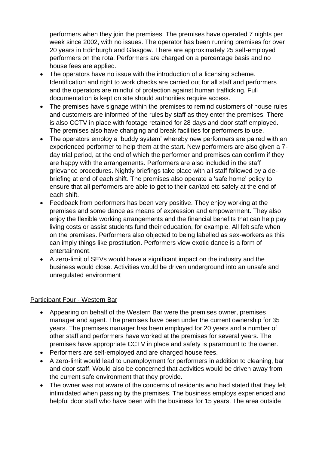performers when they join the premises. The premises have operated 7 nights per week since 2002, with no issues. The operator has been running premises for over 20 years in Edinburgh and Glasgow. There are approximately 25 self-employed performers on the rota. Performers are charged on a percentage basis and no house fees are applied.

- The operators have no issue with the introduction of a licensing scheme. Identification and right to work checks are carried out for all staff and performers and the operators are mindful of protection against human trafficking. Full documentation is kept on site should authorities require access.
- The premises have signage within the premises to remind customers of house rules and customers are informed of the rules by staff as they enter the premises. There is also CCTV in place with footage retained for 28 days and door staff employed. The premises also have changing and break facilities for performers to use.
- The operators employ a 'buddy system' whereby new performers are paired with an experienced performer to help them at the start. New performers are also given a 7 day trial period, at the end of which the performer and premises can confirm if they are happy with the arrangements. Performers are also included in the staff grievance procedures. Nightly briefings take place with all staff followed by a debriefing at end of each shift. The premises also operate a 'safe home' policy to ensure that all performers are able to get to their car/taxi etc safely at the end of each shift.
- Feedback from performers has been very positive. They enjoy working at the premises and some dance as means of expression and empowerment. They also enjoy the flexible working arrangements and the financial benefits that can help pay living costs or assist students fund their education, for example. All felt safe when on the premises. Performers also objected to being labelled as sex-workers as this can imply things like prostitution. Performers view exotic dance is a form of entertainment.
- A zero-limit of SEVs would have a significant impact on the industry and the business would close. Activities would be driven underground into an unsafe and unregulated environment

## Participant Four - Western Bar

- Appearing on behalf of the Western Bar were the premises owner, premises manager and agent. The premises have been under the current ownership for 35 years. The premises manager has been employed for 20 years and a number of other staff and performers have worked at the premises for several years. The premises have appropriate CCTV in place and safety is paramount to the owner.
- Performers are self-employed and are charged house fees.
- A zero-limit would lead to unemployment for performers in addition to cleaning, bar and door staff. Would also be concerned that activities would be driven away from the current safe environment that they provide.
- The owner was not aware of the concerns of residents who had stated that they felt intimidated when passing by the premises. The business employs experienced and helpful door staff who have been with the business for 15 years. The area outside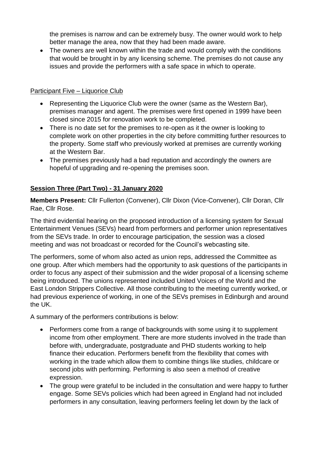the premises is narrow and can be extremely busy. The owner would work to help better manage the area, now that they had been made aware.

• The owners are well known within the trade and would comply with the conditions that would be brought in by any licensing scheme. The premises do not cause any issues and provide the performers with a safe space in which to operate.

## Participant Five – Liquorice Club

- Representing the Liquorice Club were the owner (same as the Western Bar), premises manager and agent. The premises were first opened in 1999 have been closed since 2015 for renovation work to be completed.
- There is no date set for the premises to re-open as it the owner is looking to complete work on other properties in the city before committing further resources to the property. Some staff who previously worked at premises are currently working at the Western Bar.
- The premises previously had a bad reputation and accordingly the owners are hopeful of upgrading and re-opening the premises soon.

## **Session Three (Part Two) - 31 January 2020**

**Members Present:** Cllr Fullerton (Convener), Cllr Dixon (Vice-Convener), Cllr Doran, Cllr Rae, Cllr Rose.

The third evidential hearing on the proposed introduction of a licensing system for Sexual Entertainment Venues (SEVs) heard from performers and performer union representatives from the SEVs trade. In order to encourage participation, the session was a closed meeting and was not broadcast or recorded for the Council's webcasting site.

The performers, some of whom also acted as union reps, addressed the Committee as one group. After which members had the opportunity to ask questions of the participants in order to focus any aspect of their submission and the wider proposal of a licensing scheme being introduced. The unions represented included United Voices of the World and the East London Strippers Collective. All those contributing to the meeting currently worked, or had previous experience of working, in one of the SEVs premises in Edinburgh and around the UK.

A summary of the performers contributions is below:

- Performers come from a range of backgrounds with some using it to supplement income from other employment. There are more students involved in the trade than before with, undergraduate, postgraduate and PHD students working to help finance their education. Performers benefit from the flexibility that comes with working in the trade which allow them to combine things like studies, childcare or second jobs with performing. Performing is also seen a method of creative expression.
- The group were grateful to be included in the consultation and were happy to further engage. Some SEVs policies which had been agreed in England had not included performers in any consultation, leaving performers feeling let down by the lack of